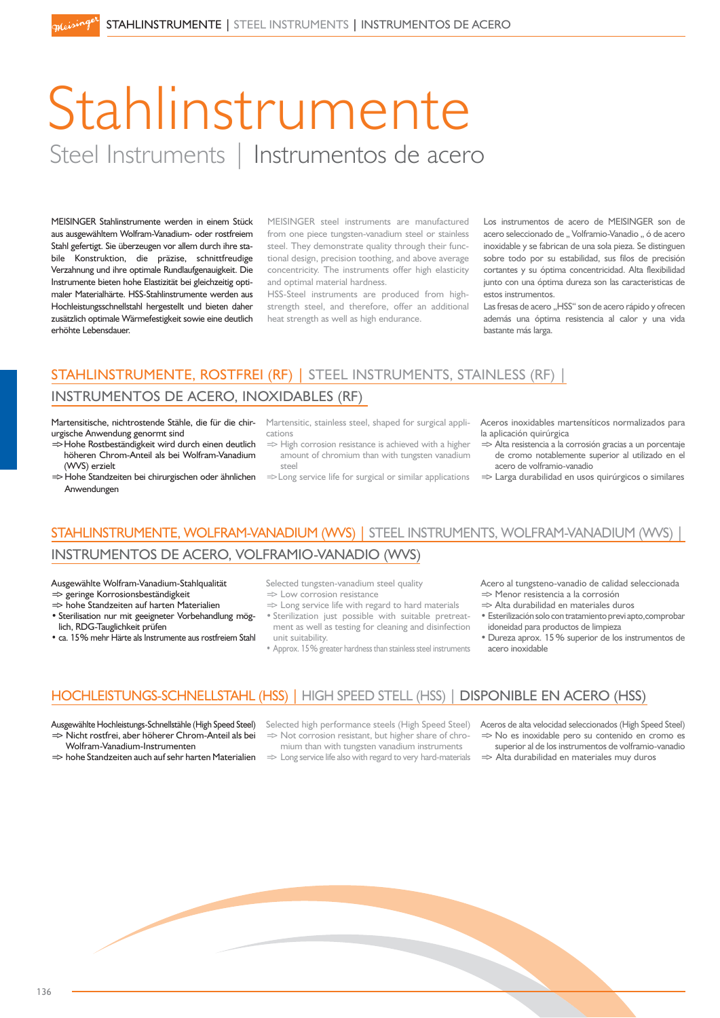# Stahlinstrumente Steel Instruments | Instrumentos de acero

MEISINGER Stahlinstrumente werden in einem Stück aus ausgewähltem Wolfram-Vanadium- oder rostfreiem Stahl gefertigt. Sie überzeugen vor allem durch ihre stabile Konstruktion, die präzise, schnittfreudige Verzahnung und ihre optimale Rundlaufgenauigkeit. Die Instrumente bieten hohe Elastizität bei gleichzeitig optimaler Materialhärte. HSS-Stahlinstrumente werden aus Hochleistungsschnellstahl hergestellt und bieten daher zusätzlich optimale Wärmefestigkeit sowie eine deutlich erhöhte Lebensdauer.

MEISINGER steel instruments are manufactured from one piece tungsten-vanadium steel or stainless steel. They demonstrate quality through their functional design, precision toothing, and above average concentricity. The instruments offer high elasticity and optimal material hardness.

HSS-Steel instruments are produced from highstrength steel, and therefore, offer an additional heat strength as well as high endurance.

Los instrumentos de acero de MEISINGER son de acero seleccionado de " Volframio-Vanadio " ó de acero inoxidable y se fabrican de una sola pieza. Se distinguen sobre todo por su estabilidad, sus filos de precisión cortantes y su óptima concentricidad. Alta flexibilidad junto con una óptima dureza son las caracteristicas de estos instrumentos.

Las fresas de acero "HSS" son de acero rápido y ofrecen además una óptima resistencia al calor y una vida bastante más larga.

### STAHLINSTRUMENTE, ROSTFREI (RF) | STEEL INSTRUMENTS, STAINLESS (RF) | INSTRUMENTOS DE ACERO, INOXIDABLES (RF)

cations

steel

Martensitische, nichtrostende Stähle, die für die chir- Martensitic, stainless steel, shaped for surgical appliurgische Anwendung genormt sind

- => Hohe Rostbeständigkeit wird durch einen deutlich höheren Chrom-Anteil als bei Wolfram-Vanadium (WVS) erzielt
- ⇒ Hohe Standzeiten bei chirurgischen oder ähnlichen =>Long service life for surgical or similar applications

 $\Rightarrow$  High corrosion resistance is achieved with a higher amount of chromium than with tungsten vanadium Aceros inoxidables martensíticos normalizados para la aplicación quirúrgica

- => Alta resistencia a la corrosión gracias a un porcentaje de cromo notablemente superior al utilizado en el acero de volframio-vanadio
- $\Rightarrow$  Larga durabilidad en usos quirúrgicos o similares

## STAHLINSTRUMENTE, WOLFRAM-VANADIUM (WVS) | STEEL INSTRUMENTS, WOLFRAM-VANADIUM (WVS) |

#### INSTRUMENTOS DE ACERO, VOLFRAMIO-VANADIO (WVS)

Ausgewählte Wolfram-Vanadium-Stahlqualität  $\Rightarrow$  geringe Korrosionsbeständigkeit

=> hohe Standzeiten auf harten Materialien

Anwendungen

- Sterilisation nur mit geeigneter Vorbehandlung möglich, RDG-Tauglichkeit prüfen
- ca. 15% mehr Härte als Instrumente aus rostfreiem Stahl

Selected tungsten-vanadium steel quality  $\Rightarrow$  Low corrosion resistance

- 
- $\Rightarrow$  Long service life with regard to hard materials Sterilization just possible with suitable pretreatment as well as testing for cleaning and disinfection unit suitability.
- Approx. 15% greater hardness than stainless steel instruments

Acero al tungsteno-vanadio de calidad seleccionada => Menor resistencia a la corrosión

- $\Rightarrow$  Alta durabilidad en materiales duros
- Esterilización solo con tratamiento previ apto,comprobar idoneidad para productos de limpieza
- · Dureza aprox. 15% superior de los instrumentos de acero inoxidable

#### HOCHLEISTUNGS-SCHNELLSTAHL (HSS) | HIGH SPEED STELL (HSS) | DISPONIBLE EN ACERO (HSS)

Ausgewählte Hochleistungs-Schnellstähle (High Speed Steel) => Nicht rostfrei, aber höherer Chrom-Anteil als bei

Wolfram-Vanadium-Instrumenten => hohe Standzeiten auch auf sehr harten Materialien  $\Rightarrow$  Not corrosion resistant, but higher share of chro-

- mium than with tungsten vanadium instruments  $\Rightarrow$  Long service life also with regard to very hard-materials
- Selected high performance steels (High Speed Steel) Aceros de alta velocidad seleccionados (High Speed Steel) => No es inoxidable pero su contenido en cromo es
	- superior al de los instrumentos de volframio-vanadio  $\Rightarrow$  Alta durabilidad en materiales muy duros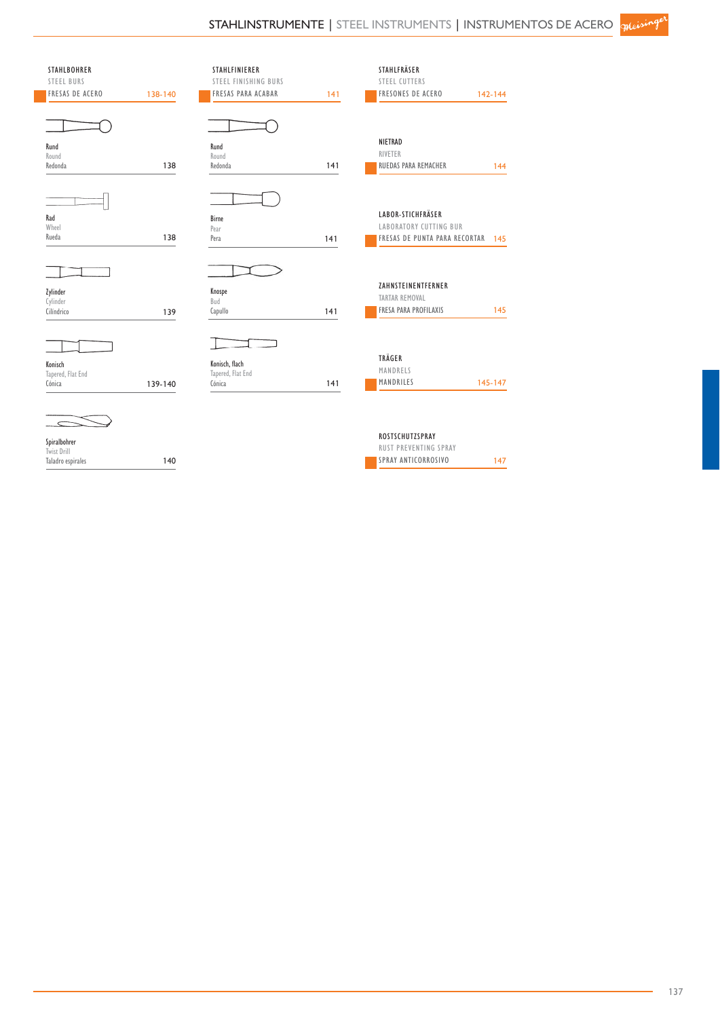| <b>STAHLBOHRER</b>     |         | STAHLFINIERER             |     | STAHLFRÄSER                       |         |
|------------------------|---------|---------------------------|-----|-----------------------------------|---------|
| <b>STEEL BURS</b>      |         | STEEL FINISHING BURS      |     | <b>STEEL CUTTERS</b>              |         |
| <b>FRESAS DE ACERO</b> | 138-140 | <b>FRESAS PARA ACABAR</b> | 141 | <b>FRESONES DE ACERO</b>          | 142-144 |
|                        |         |                           |     |                                   |         |
|                        |         |                           |     | NIETRAD                           |         |
| Rund                   |         | Rund                      |     | RIVETER                           |         |
| Round<br>Redonda       | 138     | Round<br>Redonda          | 141 | <b>RUEDAS PARA REMACHER</b>       | 144     |
|                        |         |                           |     |                                   |         |
|                        |         |                           |     |                                   |         |
| Rad                    |         | Birne                     |     | LABOR-STICHFRÄSER                 |         |
| Wheel                  |         | Pear                      |     | <b>LABORATORY CUTTING BUR</b>     |         |
| Rueda                  | 138     | Pera                      | 141 | FRESAS DE PUNTA PARA RECORTAR 145 |         |
|                        |         |                           |     |                                   |         |
|                        |         |                           |     |                                   |         |
|                        |         |                           |     | ZAHNSTEINENTFERNER                |         |
| Zylinder<br>Cylinder   |         | Knospe<br>Bud             |     | <b>TARTAR REMOVAL</b>             |         |
| Cilíndrico             | 139     | Capullo                   | 141 | FRESA PARA PROFILAXIS             | 145     |
|                        |         |                           |     |                                   |         |
|                        |         |                           |     |                                   |         |
| Konisch                |         | Konisch, flach            |     | TRÄGER                            |         |
| Tapered, Flat End      |         | Tapered, Flat End         |     | MANDRELS                          |         |
| Cónica                 | 139-140 | Cónica                    | 141 | MANDRILES                         | 145-147 |
|                        |         |                           |     |                                   |         |
|                        |         |                           |     | ROSTSCHUTZSPRAY                   |         |
| Spiralbohrer           |         |                           |     | <b>RUST PREVENTING SPRAY</b>      |         |
| Twist Drill            | 140     |                           |     | SPRAY ANTICORROSIVO               |         |
| Taladro espirales      |         |                           |     |                                   | 147     |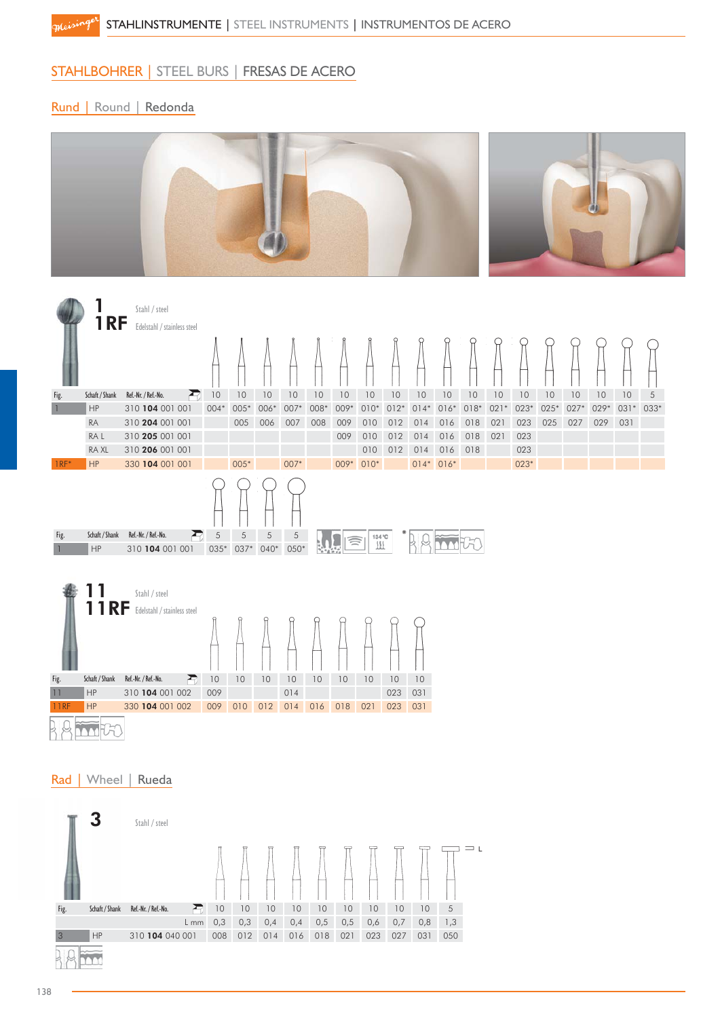#### STAHLBOHRER | STEEL BURS | FRESAS DE ACERO

Rund | Round | Redonda

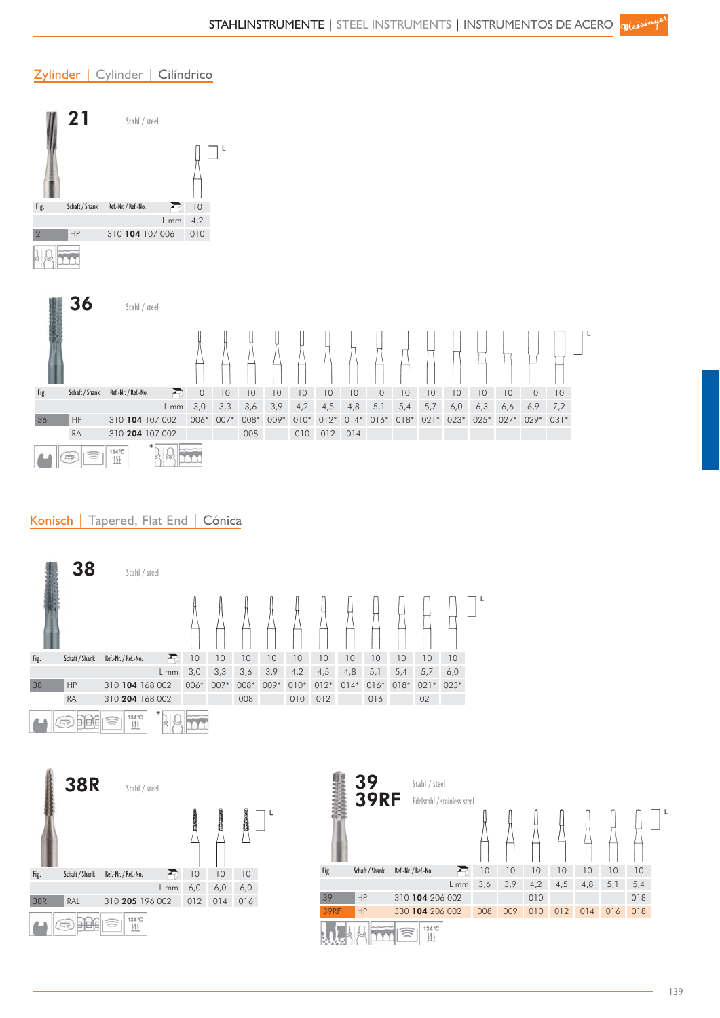#### Zylinder | Cylinder | Cilíndrico



#### Konisch | Tapered, Flat End | Cónica





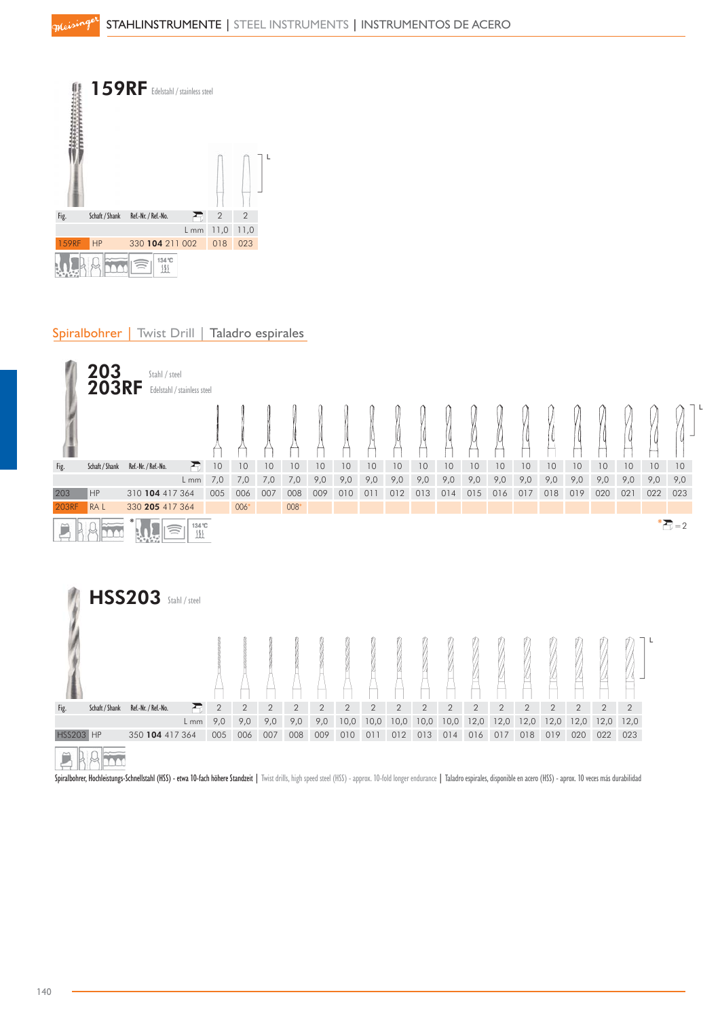

#### Spiralbohrer | Twist Drill | Taladro espirales



Spiralbohrer, Hochleistungs-Schnellstahl (HSS) - etwa 10-fach höhere Standzeit | Twist drills, high speed steel (HSS) - approx. 10-fold longer endurance | Taladro espirales, disponible en acero (HSS) - aprox. 10 veces más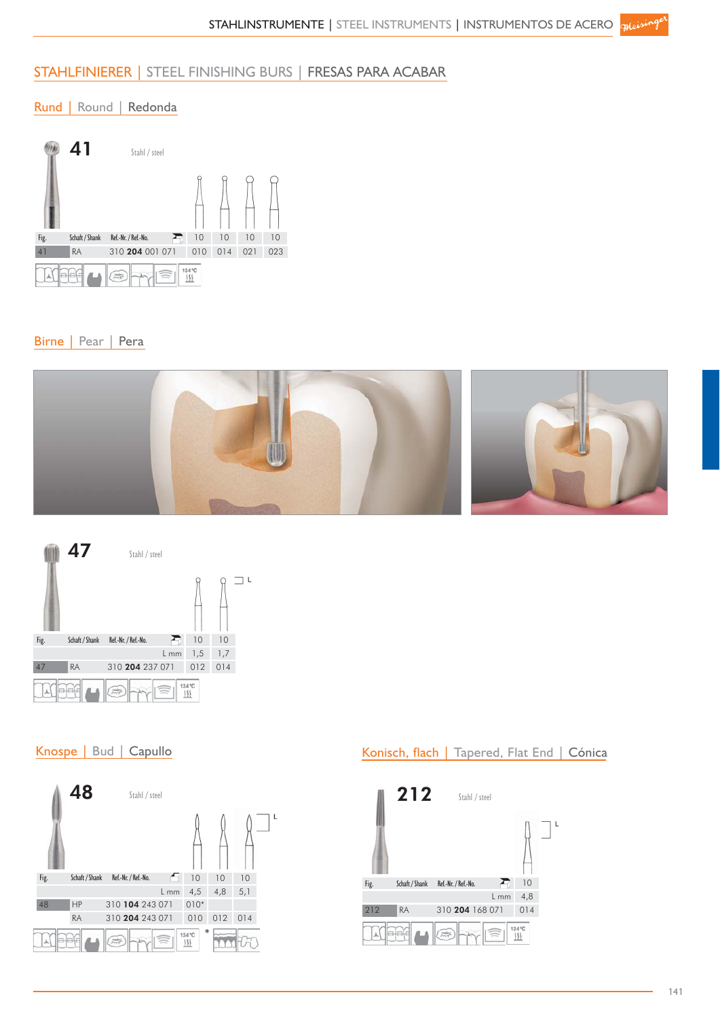#### STAHLFINIERER | STEEL FINISHING BURS | FRESAS PARA ACABAR

#### Rund | Round | Redonda



#### Birne | Pear | Pera





#### Knospe | Bud | Capullo



#### Konisch, flach | Tapered, Flat End | Cónica

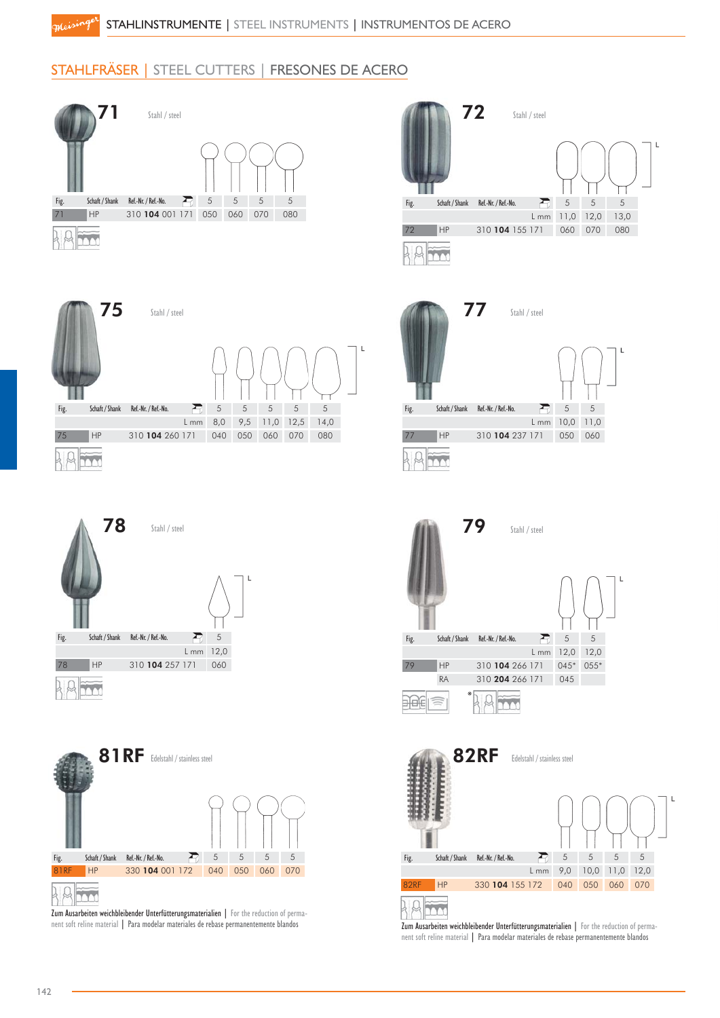#### STAHLFRÄSER | STEEL CUTTERS | FRESONES DE ACERO









Zum Ausarbeiten weichbleibender Unterfütterungsmaterialien | For the reduction of permanent soft reline material | Para modelar materiales de rebase permanentemente blandos



Zum Ausarbeiten weichbleibender Unterfütterungsmaterialien | For the reduction of permanent soft reline material | Para modelar materiales de rebase permanentemente blandos

m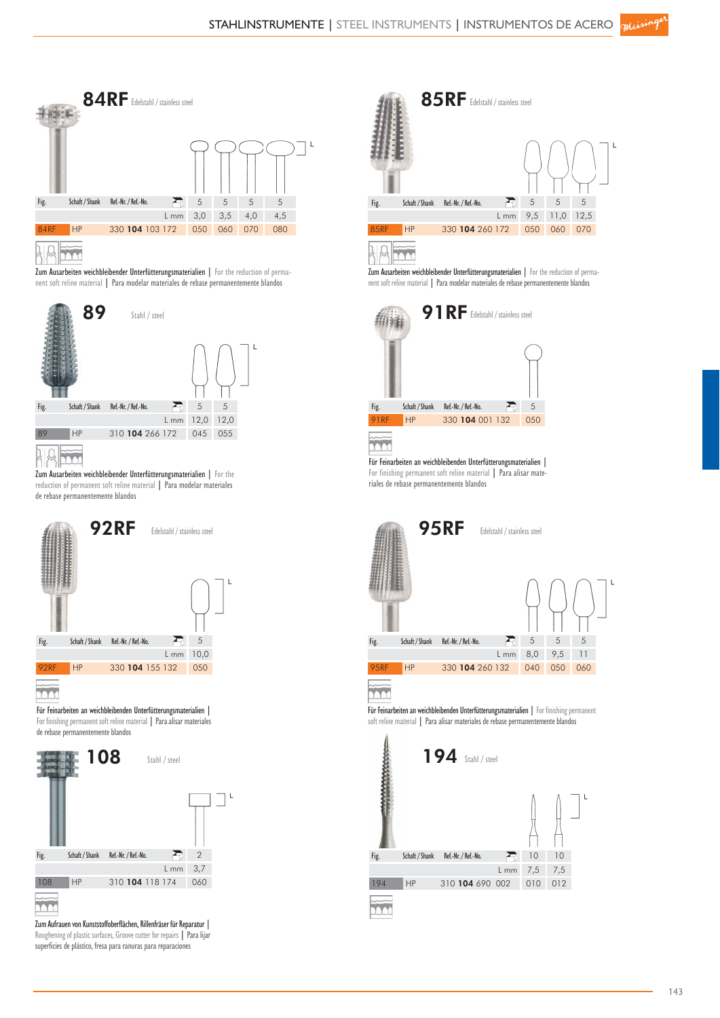

Zum Ausarbeiten weichbleibender Unterfütterungsmaterialien | For the reduction of permanent soft reline material | Para modelar materiales de rebase permanentemente blandos



Zum Ausarbeiten weichbleibender Unterfütterungsmaterialien | For the reduction of permanent soft reline material | Para modelar materiales de rebase permanentemente blandos



Für Feinarbeiten an weichbleibenden Unterfütterungsmaterialien | For finishing permanent soft reline material | Para alisar materiales de rebase permanentemente blandos



Zum Aufrauen von Kunststoffoberflächen, Rillenfräser für Reparatur | Roughening of plastic surfaces, Groove cutter for repairs | Para lijar superficies de plástico, fresa para ranuras para reparaciones

|             |                | 85RF Edelstahl / stainless steel |      |     |      |      |  |
|-------------|----------------|----------------------------------|------|-----|------|------|--|
| Fig.        | Schaft / Shank | Ref.-Nr. / Ref.-No.              |      | 5   | 5    | 5    |  |
|             |                |                                  | L mm | 9,5 | 11,0 | 12,5 |  |
| <b>85RF</b> | <b>HP</b>      | 330 104 260 172                  |      | 050 | 060  | 070  |  |
|             |                |                                  |      |     |      |      |  |



Zum Ausarbeiten weichbleibender Unterfütterungsmaterialien | For the reduction of permanent soft reline material | Para modelar materiales de rebase permanentemente blandos



Für Feinarbeiten an weichbleibenden Unterfütterungsmaterialien | For finishing permanent soft reline material | Para alisar materiales de rebase permanentemente blandos



m

Für Feinarbeiten an weichbleibenden Unterfütterungsmaterialien | For finishing permanent soft reline material | Para alisar materiales de rebase permanentemente blandos

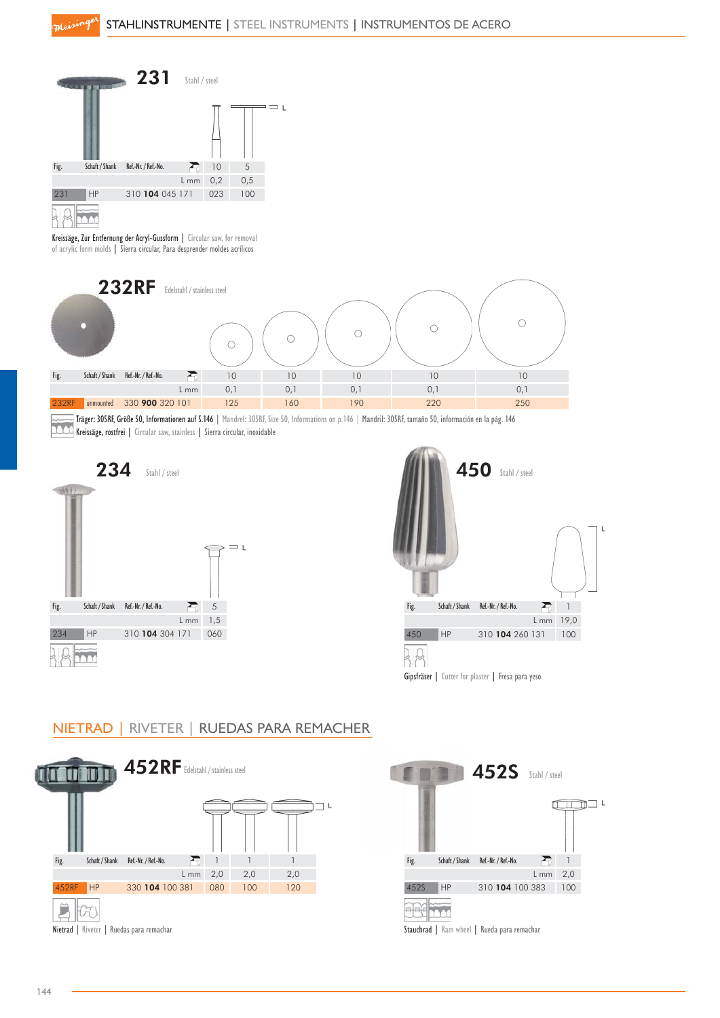

Kreissäge, Zur Entfernung der Acryl-Gussform | Circular saw, for removal of acrylic form molds | Sierra circular, Para desprender moldes acrílicos



Kreissäger: 305Kr, Grobe 50, Informationen auf 3, 1 och Frankreis 2000, 1988.<br>Reissäge, rostfrei | Circular saw, stainless | Sierra circular, inoxidable Träger: 305RF, Größe 50, Informationen auf S.146 | Mandrel: 305RF, Size 50, Informations on p.146 | Mandril: 305RF, tamaño 50, información en la pág. 146





NIETRAD | RIVETER | RUEDAS PARA REMACHER



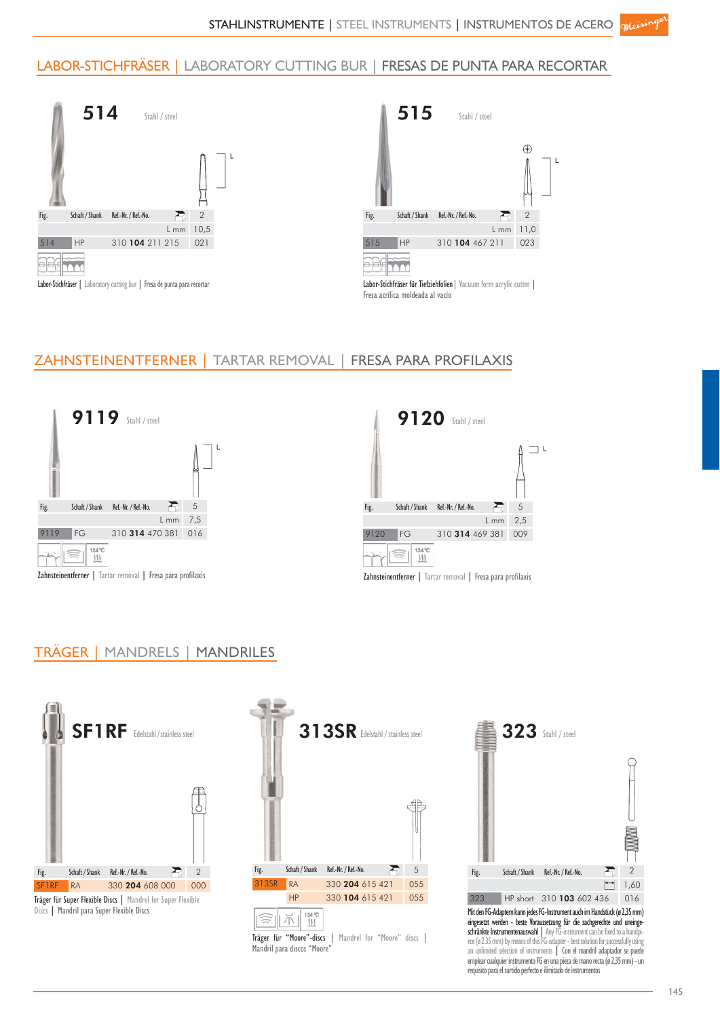#### LABOR-STICHFRÄSER | LABORATORY CUTTING BUR | FRESAS DE PUNTA PARA RECORTAR





#### ZAHNSTEINENTFERNER | TARTAR REMOVAL | FRESA PARA PROFILAXIS





#### TRÄGER | MANDRELS | MANDRILES



Discs | Mandril para Super Flexible Discs







Mit den FG-Adaptern kann jedes FG-Instrument auch im Handstück (ø 2,35 mm) eingesetzt werden - beste Voraussetzung für die sachgerechte und uneingeschränkte Instrumentenauswahl | Any FG-instrument can be fixed to a handpiece (ø 2.35 mm) by means of this FG-adapter - best solution for successfully using<br>an unlimited selection of instruments | Con el mandril adaptador se puede emplear cualquier instrumento FG en una pieza de mano recta (ø 2,35 mm) - un requisito para el surtido perfecto e ilimitado de instrumentos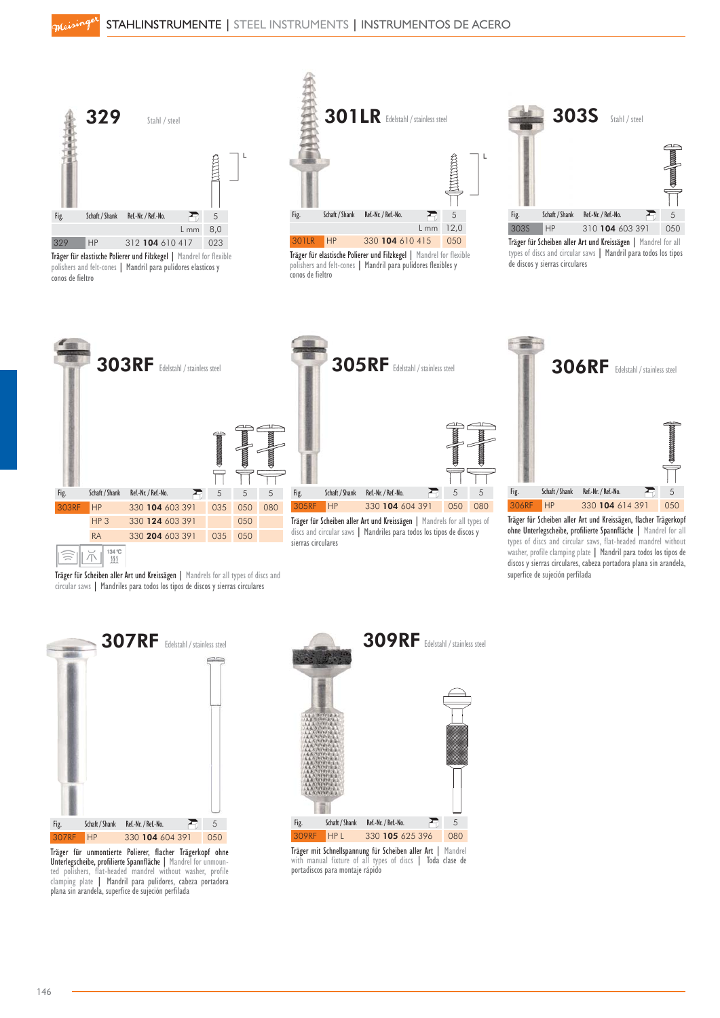

Träger für elastische Polierer und Filzkegel | Mandrel for flexible polishers and felt-cones | Mandril para pulidores elasticos y conos de fieltro



Träger für elastische Polierer und Filzkegel | Mandrel for flexible polishers and felt-cones | Mandril para pulidores flexibles y conos de fieltro



Träger für Scheiben aller Art und Kreissägen | Mandrel for all types of discs and circular saws | Mandril para todos los tipos de discos y sierras circulares





Träger für Scheiben aller Art und Kreissägen, flacher Trägerkopf ohne Unterlegscheibe, profilierte Spannfläche | Mandrel for all types of discs and circular saws, flat-headed mandrel without washer, profile clamping plate | Mandril para todos los tipos de discos y sierras circulares, cabeza portadora plana sin arandela, superfice de sujeción perfilada

Träger für Scheiben aller Art und Kreissägen | Mandrels for all types of discs and circular saws | Mandriles para todos los tipos de discos y sierras circulares



Träger für unmontierte Polierer, flacher Trägerkopf ohne Unterlegscheibe, profilierte Spannfläche | Mandrel for unmounted polishers, flat-headed mandrel without washer, profile clamping plate | Mandril para pulidores, cabeza portadora plana sin arandela, superfice de sujeción perfilada



Träger mit Schnellspannung für Scheiben aller Art | Mandrel with manual fixture of all types of discs | Toda clase de portadiscos para montaje rápido